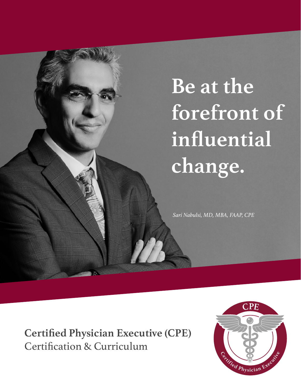# **Be at the forefront of influential change.**

*Sari Nabulsi, MD, MBA, FAAP, CPE*

**Certified Physician Executive (CPE)**  Certification & Curriculum

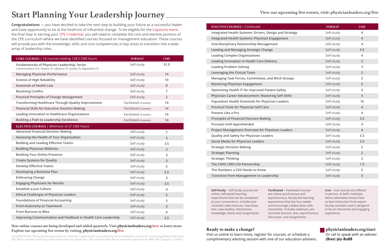**Congratulations** — you have decided to take the next step to building your future as a successful leader and have opportunity to be at the forefront of influential change. To be eligible for the [Capstone event,](https://www.physicianleaders.org/education/physicians/certified-physician-executive/capstone) the final step in earning your [CPE Credential,](https://www.physicianleaders.org/education/certified-physician-executive) you will need to complete the core and elective portions of the CPE curriculum where we have identified courses focused on management education. These courses will provide you with the knowledge, skills and core competencies in key areas to transition into a wide array of leadership roles.

#### New online courses are being developed and added quarterly. Visit **[physicianleaders.org/](https://shop.physicianleaders.org/pages/new-courses)new** to learn more. Explore our upcoming live events by visiting, **[physicianleaders.org/live](https://www.physicianleaders.org/about/calendar)**

ACCREDITATION: The American Association for Physician Leadership® is accredited by the Accreditation Council for Continuing Medical Education (ACCME) to provide continuing medical education for physicians. The activities listed above have been approved for AMA PRA Category 1 Credit™.

# **Start Planning Your Leadership Journey**

| CORE COURSES   14 courses totaling 128.5 CME hours                                                                                   | <b>FORMAT</b>         | <b>CME</b>     |  |
|--------------------------------------------------------------------------------------------------------------------------------------|-----------------------|----------------|--|
| <b>Fundamentals of Physician Leadership: Series</b><br>Communication (3.5), Finance (7), Influence (7), Quality (7), Negotiation (7) | Self-study            | 31.5           |  |
| <b>Managing Physician Performance</b>                                                                                                | Self-study            | 14             |  |
| <b>Science of High Reliability</b>                                                                                                   | Self-study            | 10             |  |
| <b>Essentials of Health Law</b>                                                                                                      | Self-study            | 8              |  |
| <b>Resolving Conflict</b>                                                                                                            | Self-study            | 7              |  |
| <b>Practical Principles of Change Management</b>                                                                                     | Self-study            | $\overline{2}$ |  |
| <b>Transforming Healthcare Through Quality Improvement</b>                                                                           | Facilitated (4 weeks) | 14             |  |
| <b>Financial Skills for Executive Decision Making</b>                                                                                | Facilitated (4 weeks) | 14             |  |
| Leading Innovation in Healthcare Organizations                                                                                       | Facilitated (4 weeks) | 14             |  |
| <b>Building a Path to Leadership Excellence</b>                                                                                      | Facilitated (4 weeks) | 14             |  |
| ELECTIVE COURSES   Minimum of 27 CME Hours                                                                                           |                       |                |  |
| <b>Advanced Financial Decision Making</b>                                                                                            | Self-study            | $\overline{7}$ |  |
| Assessing the Health of Your Organization                                                                                            | Self-study            | 3              |  |
| <b>Building and Leading Effective Teams</b>                                                                                          | Self-study            | 3.5            |  |
| <b>Building Physician Wellness</b>                                                                                                   | Self-study            | 3              |  |
| <b>Building Your Online Presence</b>                                                                                                 | Self-study            | 3              |  |
| <b>Create Systems for Quality</b>                                                                                                    | Self-study            | 3              |  |
| <b>Develop Effective Teams</b>                                                                                                       | Self-study            | 5              |  |
| Developing a Business Plan                                                                                                           | Self-study            | 5.5            |  |
| <b>Embracing Change</b>                                                                                                              | Self-study            | 3              |  |
| <b>Engaging Physicians for Results</b>                                                                                               | Self-study            | 3.5            |  |
| Establish a Just Culture                                                                                                             | Self-study            | $\overline{4}$ |  |
| <b>Ethical Challenges of Physician Leaders</b>                                                                                       | Self-study            | 5              |  |
| <b>Foundations of Financial Accounting</b>                                                                                           | Self-study            | 5              |  |
| <b>From Autonomy to Teamwork</b>                                                                                                     | Self-study            | $\overline{3}$ |  |
| <b>From Burnout to Bliss</b>                                                                                                         | Self-study            | 4              |  |
| Improving Communication and Feedback in Health Care Leadership                                                                       | Self-study            | 2.5            |  |

**[Integrated Health Systems: Drivers, Design and Strategy](https://shop.physicianleaders.org/collections/online-courses/products/integrated-health-systems-drivers-design-and-strategy) [Integrated Health Systems: Physician Engagement](https://shop.physicianleaders.org/collections/online-courses/products/integrated-health-systems-physician-engagement) [Interdisciplinary Relationship Management](https://shop.physicianleaders.org/collections/online-courses/products/interdisciplinary-relationship-management) [Leading and Managing Strategic Change](https://shop.physicianleaders.org/collections/online-courses/products/leading-and-managing-strategic-change) [Leading Complex Organizations](https://shop.physicianleaders.org/products/leading-complex-organizations) [Leading Innovation in Health Care Delivery](https://shop.physicianleaders.org/collections/online-courses/products/leading-innovation-in-health-care-delivery) [Leading Problem Solving](https://shop.physicianleaders.org/products/leading-problem-solving) [Leveraging the Clinical Team](https://shop.physicianleaders.org/collections/online-courses/products/leveraging-the-clinical-team) Managing Task Forces, Committees, and Work Groups [Mastering Physician Engagement](https://shop.physicianleaders.org/collections/online-courses/products/mastering-physician-engagement) [Optimizing Health IT for Improved Patient Safety](https://shop.physicianleaders.org/collections/online-courses/products/optimizing-health-it-for-improved-patient-safety) [Physician Career Advancement: Mastering Soft Skills](https://shop.physicianleaders.org/collections/online-courses/products/physician-career-advancement-mastering-soft-skills) [Population Health Essentials for Physician Leaders](https://shop.physicianleaders.org/collections/online-courses/products/population-health) [Practical Tools for Physician Self-Care](https://shop.physicianleaders.org/products/practical-tools-for-physician-self-care) [Present Like a Pro](https://shop.physicianleaders.org/collections/online-courses/products/present-like-a-pro) [Principles of Financial Decision Making](https://shop.physicianleaders.org/collections/online-courses/products/principles-of-financial-decision-making) [Proceed Until Apprehended](https://shop.physicianleaders.org/collections/online-courses/products/proceed-until-apprehended) Project Management Overview for Physician Lead [Quality and Safety for Physician Leaders](https://shop.physicianleaders.org/collections/online-courses/products/quality-and-safety-for-physician-leaders)  [Social Media for Physician Leaders](https://shop.physicianleaders.org/collections/online-courses/products/social-media-for-physician-leaders) [Strategic Decision Making](https://shop.physicianleaders.org/collections/online-courses/products/strategic-decision-making) [Strategic Planning](https://shop.physicianleaders.org/collections/online-courses/products/strategic-planning) [Strategic Thinking](https://shop.physicianleaders.org/collections/online-courses/products/strategic-thinking) [The CMIO CMO CIO Partnership](https://shop.physicianleaders.org/collections/online-courses/products/the-cmio-cmo-cio-partnership) [The Numbers a CEO Needs to Know](https://shop.physicianleaders.org/collections/online-courses/products/the-numbers-a-ceo-needs-to-know) [Transition from Management to Leadership](https://shop.physicianleaders.org/collections/online-courses/products/transition-from-management-to-leadership)**

#### **Ready to make a change?**

Visit us online to learn more, register for courses, or schedule a complimentary advising session with one of our education advisers. **[physicianleaders.org/start](https://www.physicianleaders.org/education/certified-physician-executive)** Or call to speak with an adviser: **(800) 562-8088**

**Self-Study** – Self-study courses are online, self-paced learning experiences that can be completed at your convenience. includes prerecorded video lectures, interviews, text, case studies, interactions, knowledge checks and assignments.

**Facilitated** – Facilitated courses are online synchronous and asynchronous, faculty-led learning experiences that last four weeks and encourage collaboration with classmates. Includes webinars, prerecorded lectures, text, asynchronous discussion, and assignments.

**Live** – Live courses are offered in-person, at AAPL institutes, where attendees receive faceto-face instruction from expert faculty members and is designed to be an interactive and engaging experience.

#### **ELECTIVE COURSES** | Continued

|         | <b>FORMAT</b> | <b>CME</b>              |
|---------|---------------|-------------------------|
|         | Self-study    | $\overline{4}$          |
| trategy |               |                         |
| t       | Self-study    | $\overline{4}$          |
|         | Self-study    | $\overline{\mathbf{4}}$ |
|         | Self-study    | 5.5                     |
|         | Self-study    | $\overline{4}$          |
|         | Self-study    | $\overline{2}$          |
|         | Self-study    | 3                       |
|         | Self-study    | $\overline{2}$          |
| oups    | Self-study    | 3                       |
|         | Self-study    | 5                       |
|         | Self-study    | $\overline{4}$          |
| cills   | Self-study    | 3                       |
| 'S      | Self-study    | 16                      |
|         | Self-study    | $\overline{4}$          |
|         | Self-study    | $\overline{4}$          |
|         | Self-study    | 3.5                     |
|         | Self-study    | $\overline{4}$          |
| lers    | Self-study    | $\overline{4}$          |
|         | Self-study    | 3.5                     |
|         | Self-study    | 2.5                     |
|         | Self-study    | $\overline{2}$          |
|         | Self-study    | $\overline{2}$          |
|         | Self-study    | $\overline{2}$          |
|         | Self-study    | 1.5                     |
|         | Self-study    | 5                       |
|         | Self-study    | 3                       |
|         |               |                         |